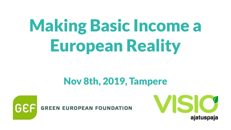# Making Basic Income a European Reality

# Nov 8th, 2019, Tampere



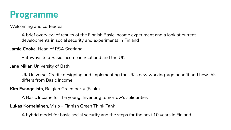

Welcoming and coffee/tea

A brief overview of results of the Finnish Basic Income experiment and a look at current developments in social security and experiments in Finland

**Jamie Cooke**, Head of RSA Scotland

Pathways to a Basic Income in Scotland and the UK

**Jane Millar**, University of Bath

UK Universal Credit: designing and implementing the UK's new working-age benefit and how this differs from Basic Income

**Kim Evangelista**, Belgian Green party (Ecolo)

A Basic Income for the young: Inventing tomorrow's solidarities

**Lukas Korpelainen**, Visio – Finnish Green Think Tank

A hybrid model for basic social security and the steps for the next 10 years in Finland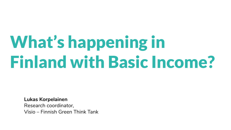# What's happening in Finland with Basic Income?

**Lukas Korpelainen** Research coordinator, Visio – Finnish Green Think Tank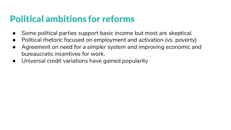#### Political ambitions for reforms

- Some political parties support basic income but most are skeptical.
- Political rhetoric focused on employment and activation (vs. poverty)
- Agreement on need for a simpler system and improving economic and bureaucratic incentives for work.
- Universal credit variations have gained popularity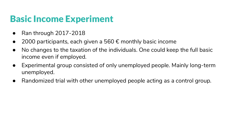# Basic Income Experiment

- Ran through 2017-2018
- 2000 participants, each given a 560  $\epsilon$  monthly basic income
- No changes to the taxation of the individuals. One could keep the full basic income even if employed.
- Experimental group consisted of only unemployed people. Mainly long-term unemployed.
- Randomized trial with other unemployed people acting as a control group.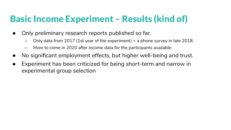# Basic Income Experiment – Results (kind of)

- Only preliminary research reports published so far.
	- Only data from 2017 (1st year of the experiment) + a phone survey in late 2018.
	- More to come in 2020 after income data for the participants available.
- No significant employment effects, but higher well-being and trust.
- Experiment has been criticized for being short-term and narrow in experimental group selection